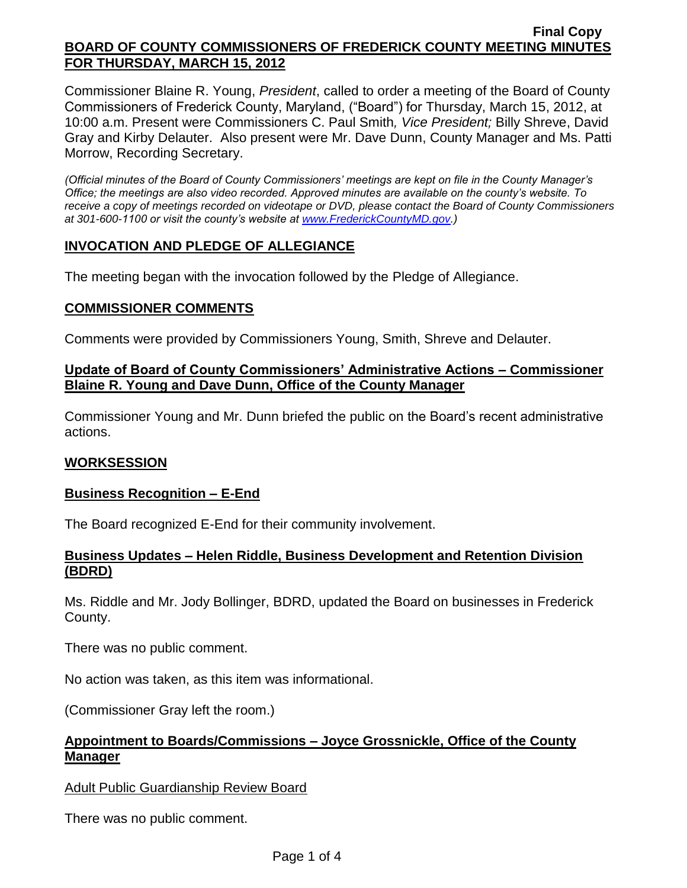Commissioner Blaine R. Young, *President*, called to order a meeting of the Board of County Commissioners of Frederick County, Maryland, ("Board") for Thursday, March 15, 2012, at 10:00 a.m. Present were Commissioners C. Paul Smith*, Vice President;* Billy Shreve, David Gray and Kirby Delauter. Also present were Mr. Dave Dunn, County Manager and Ms. Patti Morrow, Recording Secretary.

*(Official minutes of the Board of County Commissioners' meetings are kept on file in the County Manager's Office; the meetings are also video recorded. Approved minutes are available on the county's website. To receive a copy of meetings recorded on videotape or DVD, please contact the Board of County Commissioners at 301-600-1100 or visit the county's website at [www.FrederickCountyMD.gov.](http://www.frederickcountymd.gov/))*

# **INVOCATION AND PLEDGE OF ALLEGIANCE**

The meeting began with the invocation followed by the Pledge of Allegiance.

# **COMMISSIONER COMMENTS**

Comments were provided by Commissioners Young, Smith, Shreve and Delauter.

### **Update of Board of County Commissioners' Administrative Actions – Commissioner Blaine R. Young and Dave Dunn, Office of the County Manager**

Commissioner Young and Mr. Dunn briefed the public on the Board's recent administrative actions.

# **WORKSESSION**

# **Business Recognition – E-End**

The Board recognized E-End for their community involvement.

# **Business Updates – Helen Riddle, Business Development and Retention Division (BDRD)**

Ms. Riddle and Mr. Jody Bollinger, BDRD, updated the Board on businesses in Frederick County.

There was no public comment.

No action was taken, as this item was informational.

(Commissioner Gray left the room.)

# **Appointment to Boards/Commissions – Joyce Grossnickle, Office of the County Manager**

Adult Public Guardianship Review Board

There was no public comment.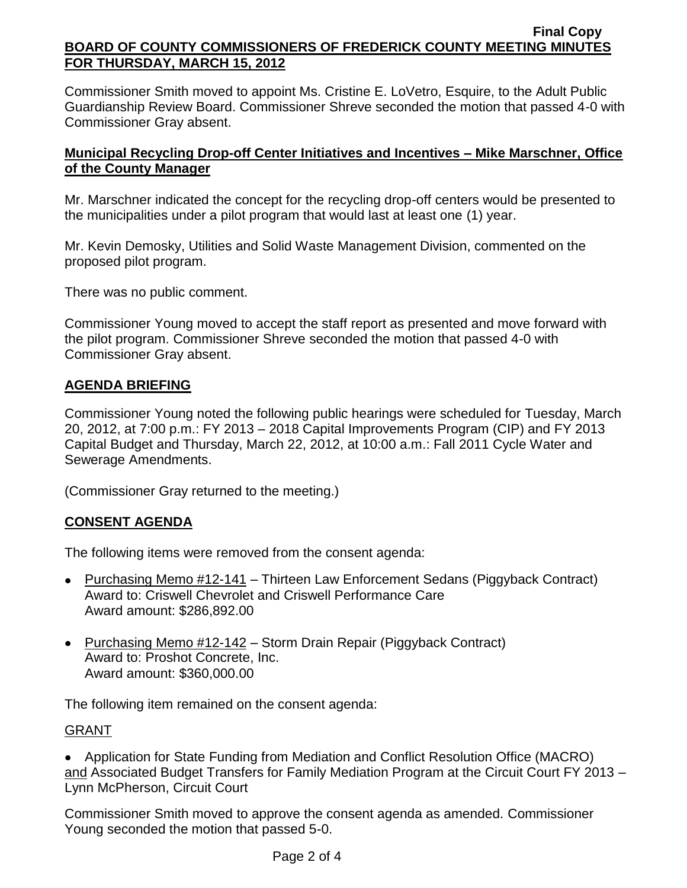Commissioner Smith moved to appoint Ms. Cristine E. LoVetro, Esquire, to the Adult Public Guardianship Review Board. Commissioner Shreve seconded the motion that passed 4-0 with Commissioner Gray absent.

# **Municipal Recycling Drop-off Center Initiatives and Incentives – Mike Marschner, Office of the County Manager**

Mr. Marschner indicated the concept for the recycling drop-off centers would be presented to the municipalities under a pilot program that would last at least one (1) year.

Mr. Kevin Demosky, Utilities and Solid Waste Management Division, commented on the proposed pilot program.

There was no public comment.

Commissioner Young moved to accept the staff report as presented and move forward with the pilot program. Commissioner Shreve seconded the motion that passed 4-0 with Commissioner Gray absent.

# **AGENDA BRIEFING**

Commissioner Young noted the following public hearings were scheduled for Tuesday, March 20, 2012, at 7:00 p.m.: FY 2013 – 2018 Capital Improvements Program (CIP) and FY 2013 Capital Budget and Thursday, March 22, 2012, at 10:00 a.m.: Fall 2011 Cycle Water and Sewerage Amendments.

(Commissioner Gray returned to the meeting.)

# **CONSENT AGENDA**

The following items were removed from the consent agenda:

- Purchasing Memo  $\frac{\#12-141}{n}$  Thirteen Law Enforcement Sedans (Piggyback Contract) Award to: Criswell Chevrolet and Criswell Performance Care Award amount: \$286,892.00
- Purchasing Memo #12-142 Storm Drain Repair (Piggyback Contract) Award to: Proshot Concrete, Inc. Award amount: \$360,000.00

The following item remained on the consent agenda:

# GRANT

Application for State Funding from Mediation and Conflict Resolution Office (MACRO) and Associated Budget Transfers for Family Mediation Program at the Circuit Court FY 2013 – Lynn McPherson, Circuit Court

Commissioner Smith moved to approve the consent agenda as amended. Commissioner Young seconded the motion that passed 5-0.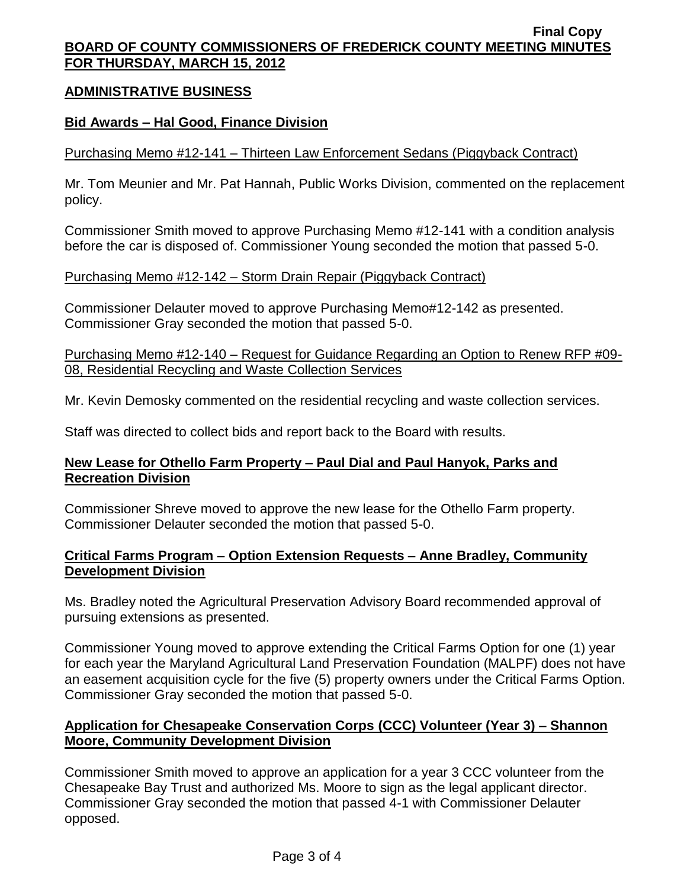# **ADMINISTRATIVE BUSINESS**

### **Bid Awards – Hal Good, Finance Division**

# Purchasing Memo #12-141 – Thirteen Law Enforcement Sedans (Piggyback Contract)

Mr. Tom Meunier and Mr. Pat Hannah, Public Works Division, commented on the replacement policy.

Commissioner Smith moved to approve Purchasing Memo #12-141 with a condition analysis before the car is disposed of. Commissioner Young seconded the motion that passed 5-0.

### Purchasing Memo #12-142 – Storm Drain Repair (Piggyback Contract)

Commissioner Delauter moved to approve Purchasing Memo#12-142 as presented. Commissioner Gray seconded the motion that passed 5-0.

Purchasing Memo #12-140 – Request for Guidance Regarding an Option to Renew RFP #09- 08, Residential Recycling and Waste Collection Services

Mr. Kevin Demosky commented on the residential recycling and waste collection services.

Staff was directed to collect bids and report back to the Board with results.

### **New Lease for Othello Farm Property – Paul Dial and Paul Hanyok, Parks and Recreation Division**

Commissioner Shreve moved to approve the new lease for the Othello Farm property. Commissioner Delauter seconded the motion that passed 5-0.

# **Critical Farms Program – Option Extension Requests – Anne Bradley, Community Development Division**

Ms. Bradley noted the Agricultural Preservation Advisory Board recommended approval of pursuing extensions as presented.

Commissioner Young moved to approve extending the Critical Farms Option for one (1) year for each year the Maryland Agricultural Land Preservation Foundation (MALPF) does not have an easement acquisition cycle for the five (5) property owners under the Critical Farms Option. Commissioner Gray seconded the motion that passed 5-0.

# **Application for Chesapeake Conservation Corps (CCC) Volunteer (Year 3) – Shannon Moore, Community Development Division**

Commissioner Smith moved to approve an application for a year 3 CCC volunteer from the Chesapeake Bay Trust and authorized Ms. Moore to sign as the legal applicant director. Commissioner Gray seconded the motion that passed 4-1 with Commissioner Delauter opposed.